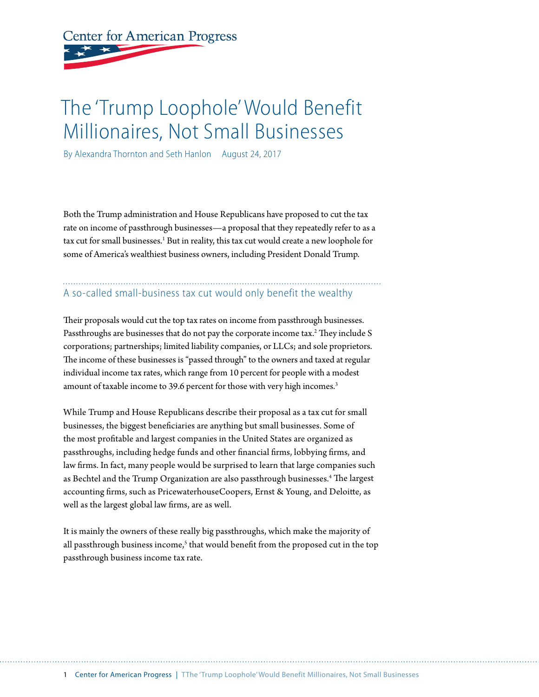# **Center for American Progress**

## The 'Trump Loophole' Would Benefit Millionaires, Not Small Businesses

By Alexandra Thornton and Seth Hanlon August 24, 2017

Both the Trump administration and House Republicans have proposed to cut the tax rate on income of passthrough businesses—a proposal that they repeatedly refer to as a tax cut for small businesses.<sup>1</sup> But in reality, this tax cut would create a new loophole for some of America's wealthiest business owners, including President Donald Trump.

### A so-called small-business tax cut would only benefit the wealthy

Their proposals would cut the top tax rates on income from passthrough businesses. Passthroughs are businesses that do not pay the corporate income tax.<sup>2</sup> They include S corporations; partnerships; limited liability companies, or LLCs; and sole proprietors. The income of these businesses is "passed through" to the owners and taxed at regular individual income tax rates, which range from 10 percent for people with a modest amount of taxable income to 39.6 percent for those with very high incomes.<sup>3</sup>

While Trump and House Republicans describe their proposal as a tax cut for small businesses, the biggest beneficiaries are anything but small businesses. Some of the most profitable and largest companies in the United States are organized as passthroughs, including hedge funds and other financial firms, lobbying firms, and law firms. In fact, many people would be surprised to learn that large companies such as Bechtel and the Trump Organization are also passthrough businesses.<sup>4</sup> The largest accounting firms, such as PricewaterhouseCoopers, Ernst & Young, and Deloitte, as well as the largest global law firms, are as well.

It is mainly the owners of these really big passthroughs, which make the majority of all passthrough business income,<sup>5</sup> that would benefit from the proposed cut in the top passthrough business income tax rate.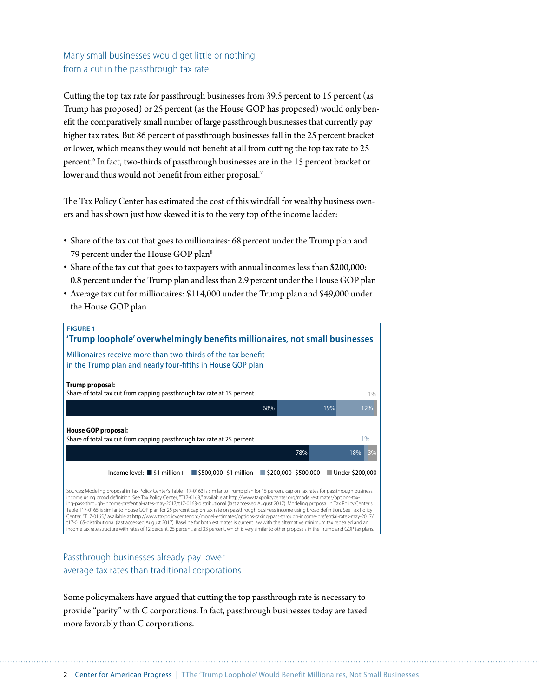#### Many small businesses would get little or nothing from a cut in the passthrough tax rate

Cutting the top tax rate for passthrough businesses from 39.5 percent to 15 percent (as Trump has proposed) or 25 percent (as the House GOP has proposed) would only benefit the comparatively small number of large passthrough businesses that currently pay higher tax rates. But 86 percent of passthrough businesses fall in the 25 percent bracket or lower, which means they would not benefit at all from cutting the top tax rate to 25 percent.<sup>6</sup> In fact, two-thirds of passthrough businesses are in the 15 percent bracket or lower and thus would not benefit from either proposal.<sup>7</sup>

The Tax Policy Center has estimated the cost of this windfall for wealthy business owners and has shown just how skewed it is to the very top of the income ladder:

- Share of the tax cut that goes to millionaires: 68 percent under the Trump plan and 79 percent under the House GOP plan<sup>8</sup>
- Share of the tax cut that goes to taxpayers with annual incomes less than \$200,000: 0.8 percent under the Trump plan and less than 2.9 percent under the House GOP plan
- Average tax cut for millionaires: \$114,000 under the Trump plan and \$49,000 under the House GOP plan



#### Passthrough businesses already pay lower average tax rates than traditional corporations

Some policymakers have argued that cutting the top passthrough rate is necessary to provide "parity" with C corporations. In fact, passthrough businesses today are taxed more favorably than C corporations.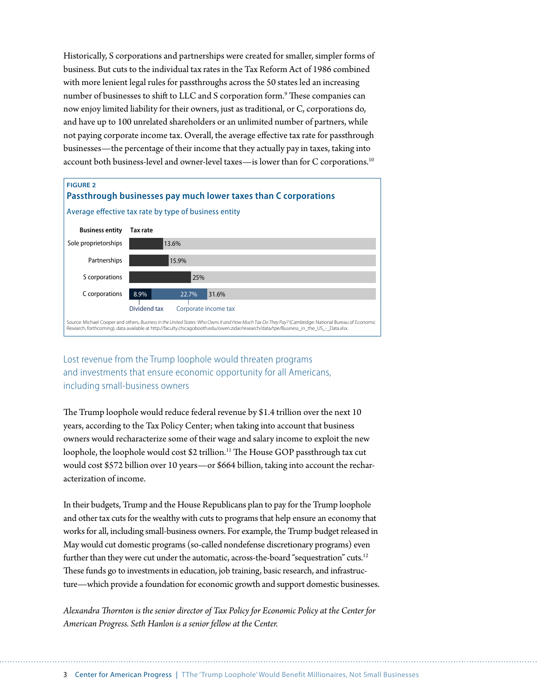Historically, S corporations and partnerships were created for smaller, simpler forms of business. But cuts to the individual tax rates in the Tax Reform Act of 1986 combined with more lenient legal rules for passthroughs across the 50 states led an increasing number of businesses to shift to LLC and S corporation form. $^9$  These companies can now enjoy limited liability for their owners, just as traditional, or C, corporations do, and have up to 100 unrelated shareholders or an unlimited number of partners, while not paying corporate income tax. Overall, the average effective tax rate for passthrough businesses—the percentage of their income that they actually pay in taxes, taking into account both business-level and owner-level taxes—is lower than for C corporations.10



#### Lost revenue from the Trump loophole would threaten programs and investments that ensure economic opportunity for all Americans, including small-business owners

The Trump loophole would reduce federal revenue by \$1.4 trillion over the next 10 years, according to the Tax Policy Center; when taking into account that business owners would recharacterize some of their wage and salary income to exploit the new loophole, the loophole would cost \$2 trillion.<sup>11</sup> The House GOP passthrough tax cut would cost \$572 billion over 10 years—or \$664 billion, taking into account the recharacterization of income.

In their budgets, Trump and the House Republicans plan to pay for the Trump loophole and other tax cuts for the wealthy with cuts to programs that help ensure an economy that works for all, including small-business owners. For example, the Trump budget released in May would cut domestic programs (so-called nondefense discretionary programs) even further than they were cut under the automatic, across-the-board "sequestration" cuts.<sup>12</sup> These funds go to investments in education, job training, basic research, and infrastructure—which provide a foundation for economic growth and support domestic businesses.

*Alexandra Thornton is the senior director of Tax Policy for Economic Policy at the Center for American Progress. Seth Hanlon is a senior fellow at the Center.*